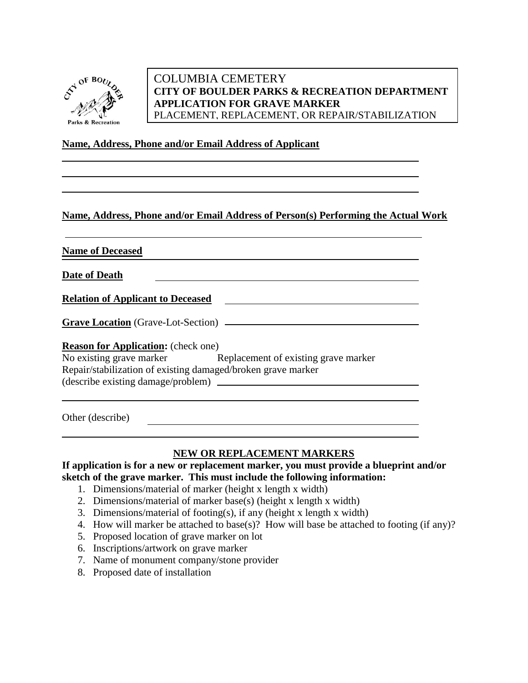

# COLUMBIA CEMETERY **CITY OF BOULDER PARKS & RECREATION DEPARTMENT APPLICATION FOR GRAVE MARKER**  PLACEMENT, REPLACEMENT, OR REPAIR/STABILIZATION

## **Name, Address, Phone and/or Email Address of Applicant**

# **Name, Address, Phone and/or Email Address of Person(s) Performing the Actual Work**

**Name of Deceased**

**Date of Death**

**Relation of Applicant to Deceased**

**Grave Location** (Grave-Lot-Section)

### **Reason for Application:** (check one)

| No existing grave marker                                     | Replacement of existing grave marker |
|--------------------------------------------------------------|--------------------------------------|
| Repair/stabilization of existing damaged/broken grave marker |                                      |
| (describe existing damage/problem)                           |                                      |

Other (describe)

### **NEW OR REPLACEMENT MARKERS**

**If application is for a new or replacement marker, you must provide a blueprint and/or sketch of the grave marker. This must include the following information:**

- 1. Dimensions/material of marker (height x length x width)
- 2. Dimensions/material of marker base(s) (height x length x width)
- 3. Dimensions/material of footing(s), if any (height x length x width)
- 4. How will marker be attached to base(s)? How will base be attached to footing (if any)?
- 5. Proposed location of grave marker on lot
- 6. Inscriptions/artwork on grave marker
- 7. Name of monument company/stone provider
- 8. Proposed date of installation